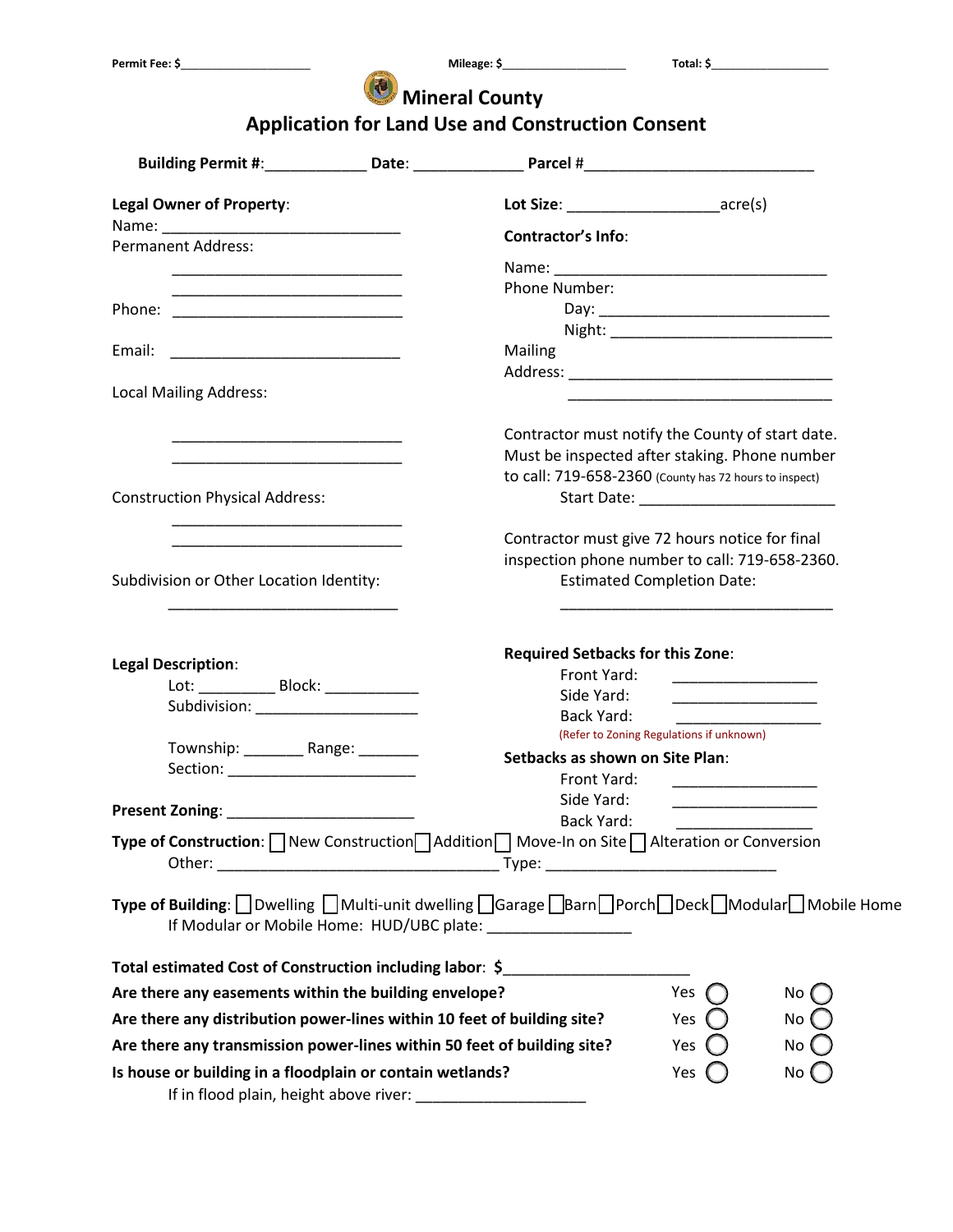## **Mineral County**

## **Application for Land Use and Construction Consent**

| <b>Legal Owner of Property:</b>                                                                                                                                        | Lot Size: acre(s)                                                                                                      |                                                                                                                                                                                                                                      |                                    |
|------------------------------------------------------------------------------------------------------------------------------------------------------------------------|------------------------------------------------------------------------------------------------------------------------|--------------------------------------------------------------------------------------------------------------------------------------------------------------------------------------------------------------------------------------|------------------------------------|
|                                                                                                                                                                        | <b>Contractor's Info:</b>                                                                                              |                                                                                                                                                                                                                                      |                                    |
| <b>Permanent Address:</b>                                                                                                                                              |                                                                                                                        |                                                                                                                                                                                                                                      |                                    |
|                                                                                                                                                                        | Phone Number:                                                                                                          |                                                                                                                                                                                                                                      |                                    |
|                                                                                                                                                                        |                                                                                                                        |                                                                                                                                                                                                                                      |                                    |
|                                                                                                                                                                        |                                                                                                                        |                                                                                                                                                                                                                                      |                                    |
|                                                                                                                                                                        | Mailing                                                                                                                |                                                                                                                                                                                                                                      |                                    |
| <b>Local Mailing Address:</b>                                                                                                                                          |                                                                                                                        |                                                                                                                                                                                                                                      |                                    |
|                                                                                                                                                                        |                                                                                                                        | <u> 1980 - Johann John Stone, markin amerikan basar dan berkembang dan berkembang dan berkembang dan berkembang da</u>                                                                                                               |                                    |
|                                                                                                                                                                        | Contractor must notify the County of start date.                                                                       |                                                                                                                                                                                                                                      |                                    |
|                                                                                                                                                                        | Must be inspected after staking. Phone number                                                                          |                                                                                                                                                                                                                                      |                                    |
|                                                                                                                                                                        | to call: 719-658-2360 (County has 72 hours to inspect)                                                                 |                                                                                                                                                                                                                                      |                                    |
| <b>Construction Physical Address:</b>                                                                                                                                  |                                                                                                                        |                                                                                                                                                                                                                                      |                                    |
|                                                                                                                                                                        | Contractor must give 72 hours notice for final                                                                         |                                                                                                                                                                                                                                      |                                    |
|                                                                                                                                                                        | inspection phone number to call: 719-658-2360.                                                                         |                                                                                                                                                                                                                                      |                                    |
| Subdivision or Other Location Identity:                                                                                                                                |                                                                                                                        | <b>Estimated Completion Date:</b>                                                                                                                                                                                                    |                                    |
|                                                                                                                                                                        |                                                                                                                        |                                                                                                                                                                                                                                      |                                    |
|                                                                                                                                                                        |                                                                                                                        |                                                                                                                                                                                                                                      |                                    |
| <b>Legal Description:</b>                                                                                                                                              | <b>Required Setbacks for this Zone:</b>                                                                                |                                                                                                                                                                                                                                      |                                    |
| Lot: _____________ Block: _____________                                                                                                                                | Front Yard:                                                                                                            | <u> 1999 - Johann John Harry Harry Harry Harry Harry Harry Harry Harry Harry Harry Harry Harry Harry Harry Harry</u>                                                                                                                 |                                    |
| Subdivision: _______________________                                                                                                                                   | Side Yard:                                                                                                             | <u> 1980 - Jan Barbara Barbara, masa kacamatan ing Kabupaten Ing Pangangan Ing Pangangang Pangangang Pangangang Pangangang Pangangang Pangangang Pangangang Pangangang Pangangang Pangangang Pangangang Panganggang Panganggang </u> |                                    |
|                                                                                                                                                                        | Back Yard:                                                                                                             | (Refer to Zoning Regulations if unknown)                                                                                                                                                                                             |                                    |
| Township: ___________ Range: _________                                                                                                                                 | Setbacks as shown on Site Plan:                                                                                        |                                                                                                                                                                                                                                      |                                    |
| Section: __________________________                                                                                                                                    | Front Yard:                                                                                                            |                                                                                                                                                                                                                                      |                                    |
|                                                                                                                                                                        | Side Yard:                                                                                                             |                                                                                                                                                                                                                                      |                                    |
|                                                                                                                                                                        | <b>Back Yard:</b>                                                                                                      |                                                                                                                                                                                                                                      |                                    |
| <b>Type of Construction:</b> $\Box$ New Construction $\Box$ Addition $\Box$ Move-In on Site $\Box$ Alteration or Conversion                                            |                                                                                                                        |                                                                                                                                                                                                                                      |                                    |
| Type of Building: □ Dwelling □ Multi-unit dwelling □ Garage □ Barn□ Porch□ Deck□ Modular□ Mobile Home<br>If Modular or Mobile Home: HUD/UBC plate: ___________________ |                                                                                                                        |                                                                                                                                                                                                                                      |                                    |
| Total estimated Cost of Construction including labor: \$                                                                                                               | <u> 1989 - Johann John Stone, mars et al. 1989 - John Stone, mars et al. 1989 - John Stone, mars et al. 1989 - Joh</u> |                                                                                                                                                                                                                                      |                                    |
| Are there any easements within the building envelope?                                                                                                                  |                                                                                                                        | Yes                                                                                                                                                                                                                                  | $No$ $($                           |
| Are there any distribution power-lines within 10 feet of building site?                                                                                                |                                                                                                                        | Yes                                                                                                                                                                                                                                  | No $\left(\begin{array}{c}\right)$ |
| Are there any transmission power-lines within 50 feet of building site?                                                                                                |                                                                                                                        | Yes                                                                                                                                                                                                                                  | No                                 |
| Is house or building in a floodplain or contain wetlands?                                                                                                              |                                                                                                                        | Yes                                                                                                                                                                                                                                  | No (                               |
|                                                                                                                                                                        |                                                                                                                        |                                                                                                                                                                                                                                      |                                    |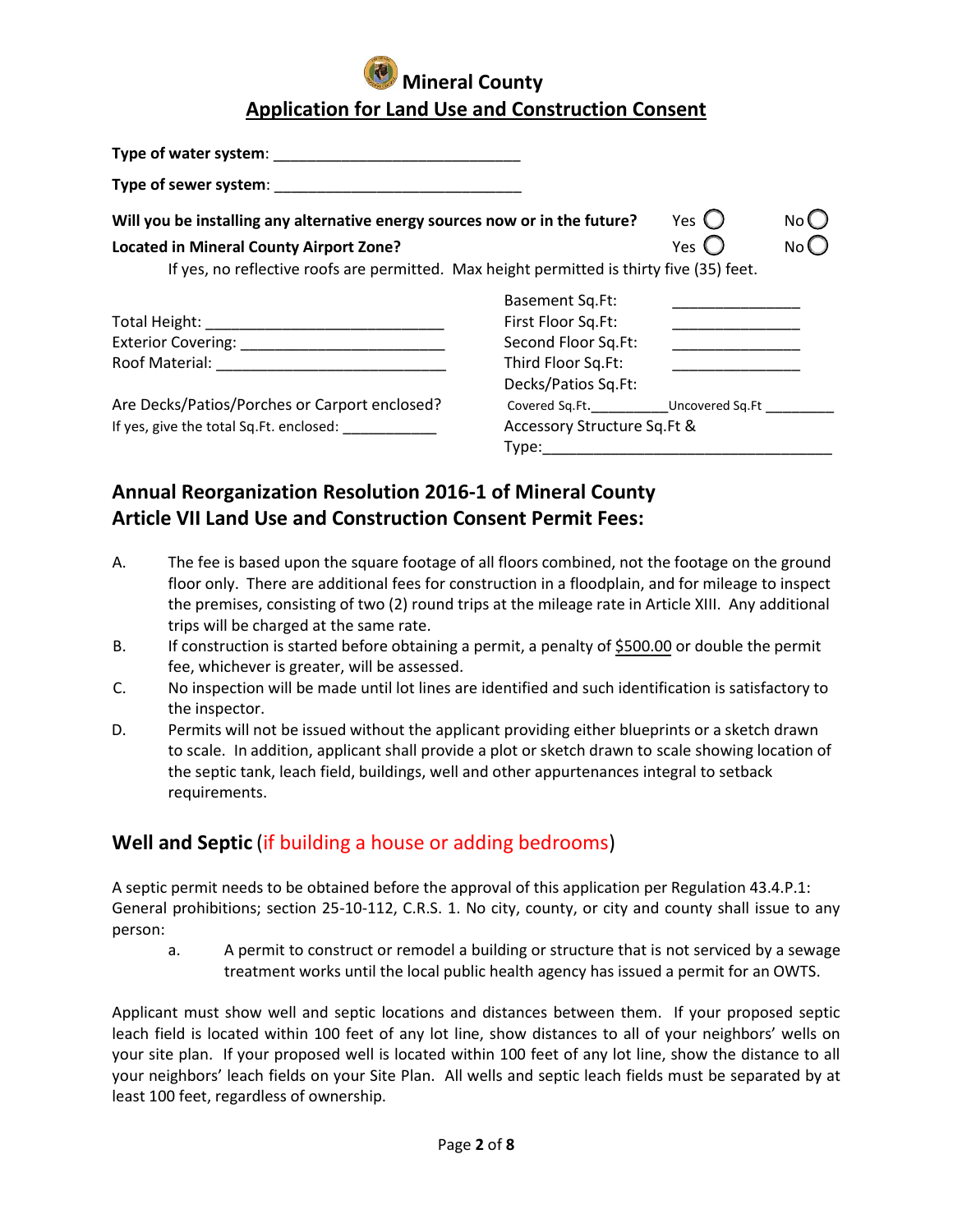| Type of water system:                                                                     |                                                                                                                |                |      |
|-------------------------------------------------------------------------------------------|----------------------------------------------------------------------------------------------------------------|----------------|------|
| Type of sewer system: Type of sewer system:                                               |                                                                                                                |                |      |
| Will you be installing any alternative energy sources now or in the future?               |                                                                                                                | Yes $\bigcirc$ | No U |
| <b>Located in Mineral County Airport Zone?</b>                                            |                                                                                                                | Yes L          | No C |
| If yes, no reflective roofs are permitted. Max height permitted is thirty five (35) feet. |                                                                                                                |                |      |
|                                                                                           | <b>Basement Sq.Ft:</b>                                                                                         |                |      |
|                                                                                           | First Floor Sq.Ft:                                                                                             |                |      |
|                                                                                           | Second Floor Sq.Ft:                                                                                            |                |      |
|                                                                                           | Third Floor Sq.Ft:                                                                                             |                |      |
|                                                                                           | Decks/Patios Sq.Ft:                                                                                            |                |      |
| Are Decks/Patios/Porches or Carport enclosed?                                             | Covered Sq.Ft. Uncovered Sq.Ft                                                                                 |                |      |
| Accessory Structure Sq.Ft &<br>If yes, give the total Sq.Ft. enclosed:                    |                                                                                                                |                |      |
|                                                                                           | Type: the control of the control of the control of the control of the control of the control of the control of |                |      |

# **Annual Reorganization Resolution 2016-1 of Mineral County Article VII Land Use and Construction Consent Permit Fees:**

- A. The fee is based upon the square footage of all floors combined, not the footage on the ground floor only. There are additional fees for construction in a floodplain, and for mileage to inspect the premises, consisting of two (2) round trips at the mileage rate in Article XIII. Any additional trips will be charged at the same rate.
- B. If construction is started before obtaining a permit, a penalty of \$500.00 or double the permit fee, whichever is greater, will be assessed.
- C. No inspection will be made until lot lines are identified and such identification is satisfactory to the inspector.
- D. Permits will not be issued without the applicant providing either blueprints or a sketch drawn to scale. In addition, applicant shall provide a plot or sketch drawn to scale showing location of the septic tank, leach field, buildings, well and other appurtenances integral to setback requirements.

## **Well and Septic** (if building a house or adding bedrooms)

A septic permit needs to be obtained before the approval of this application per Regulation 43.4.P.1: General prohibitions; section 25-10-112, C.R.S. 1. No city, county, or city and county shall issue to any person:

a. A permit to construct or remodel a building or structure that is not serviced by a sewage treatment works until the local public health agency has issued a permit for an OWTS.

Applicant must show well and septic locations and distances between them. If your proposed septic leach field is located within 100 feet of any lot line, show distances to all of your neighbors' wells on your site plan. If your proposed well is located within 100 feet of any lot line, show the distance to all your neighbors' leach fields on your Site Plan. All wells and septic leach fields must be separated by at least 100 feet, regardless of ownership.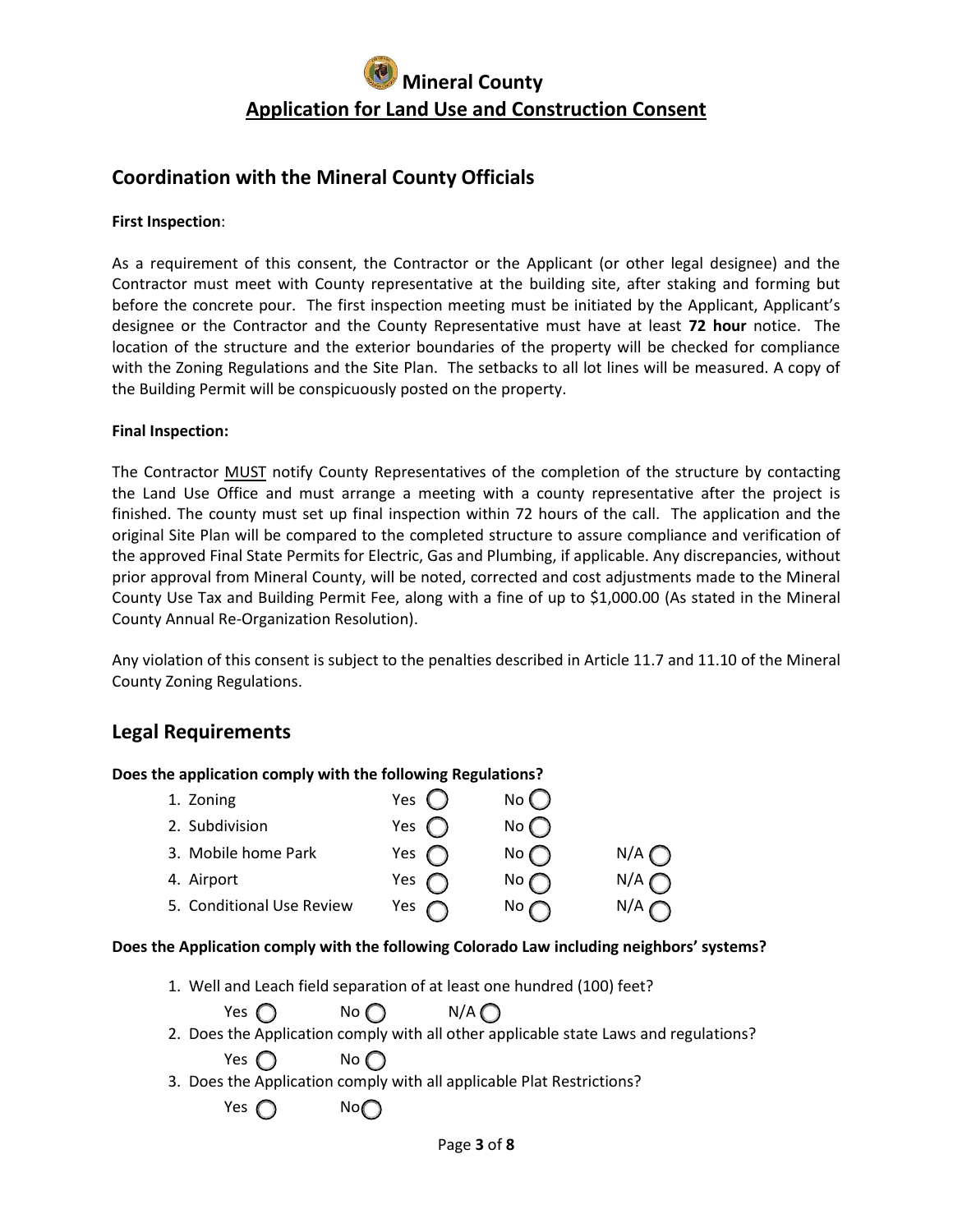## **Coordination with the Mineral County Officials**

#### **First Inspection**:

As a requirement of this consent, the Contractor or the Applicant (or other legal designee) and the Contractor must meet with County representative at the building site, after staking and forming but before the concrete pour. The first inspection meeting must be initiated by the Applicant, Applicant's designee or the Contractor and the County Representative must have at least **72 hour** notice. The location of the structure and the exterior boundaries of the property will be checked for compliance with the Zoning Regulations and the Site Plan. The setbacks to all lot lines will be measured. A copy of the Building Permit will be conspicuously posted on the property.

#### **Final Inspection:**

The Contractor MUST notify County Representatives of the completion of the structure by contacting the Land Use Office and must arrange a meeting with a county representative after the project is finished. The county must set up final inspection within 72 hours of the call. The application and the original Site Plan will be compared to the completed structure to assure compliance and verification of the approved Final State Permits for Electric, Gas and Plumbing, if applicable. Any discrepancies, without prior approval from Mineral County, will be noted, corrected and cost adjustments made to the Mineral County Use Tax and Building Permit Fee, along with a fine of up to \$1,000.00 (As stated in the Mineral County Annual Re-Organization Resolution).

Any violation of this consent is subject to the penalties described in Article 11.7 and 11.10 of the Mineral County Zoning Regulations.

### **Legal Requirements**

| Does the application comply with the following Regulations? |                 |                 |     |  |
|-------------------------------------------------------------|-----------------|-----------------|-----|--|
| 1. Zoning                                                   | Yes $\mathbb C$ | $No$ $()$       |     |  |
| 2. Subdivision                                              | Yes $\bigcap$   | $No$ $\bigcap$  |     |  |
| 3. Mobile home Park                                         | Yes $\bigcap$   | No              | N/A |  |
| 4. Airport                                                  | Yes             | No $\subset$    | N/A |  |
| 5. Conditional Use Review                                   | Yes             | No <sub>1</sub> | N/A |  |

#### **Does the Application comply with the following Colorado Law including neighbors' systems?**

1. Well and Leach field separation of at least one hundred (100) feet?

| Yes $\bigcap$ | No $\bigcap$   | $N/A$ $\bigcap$                                                                      |
|---------------|----------------|--------------------------------------------------------------------------------------|
|               |                | 2. Does the Application comply with all other applicable state Laws and regulations? |
| Yes $\bigcap$ | $No$ $\bigcap$ |                                                                                      |
|               |                | 3. Does the Application comply with all applicable Plat Restrictions?                |
| Yes $\bigcap$ | No             |                                                                                      |
|               |                |                                                                                      |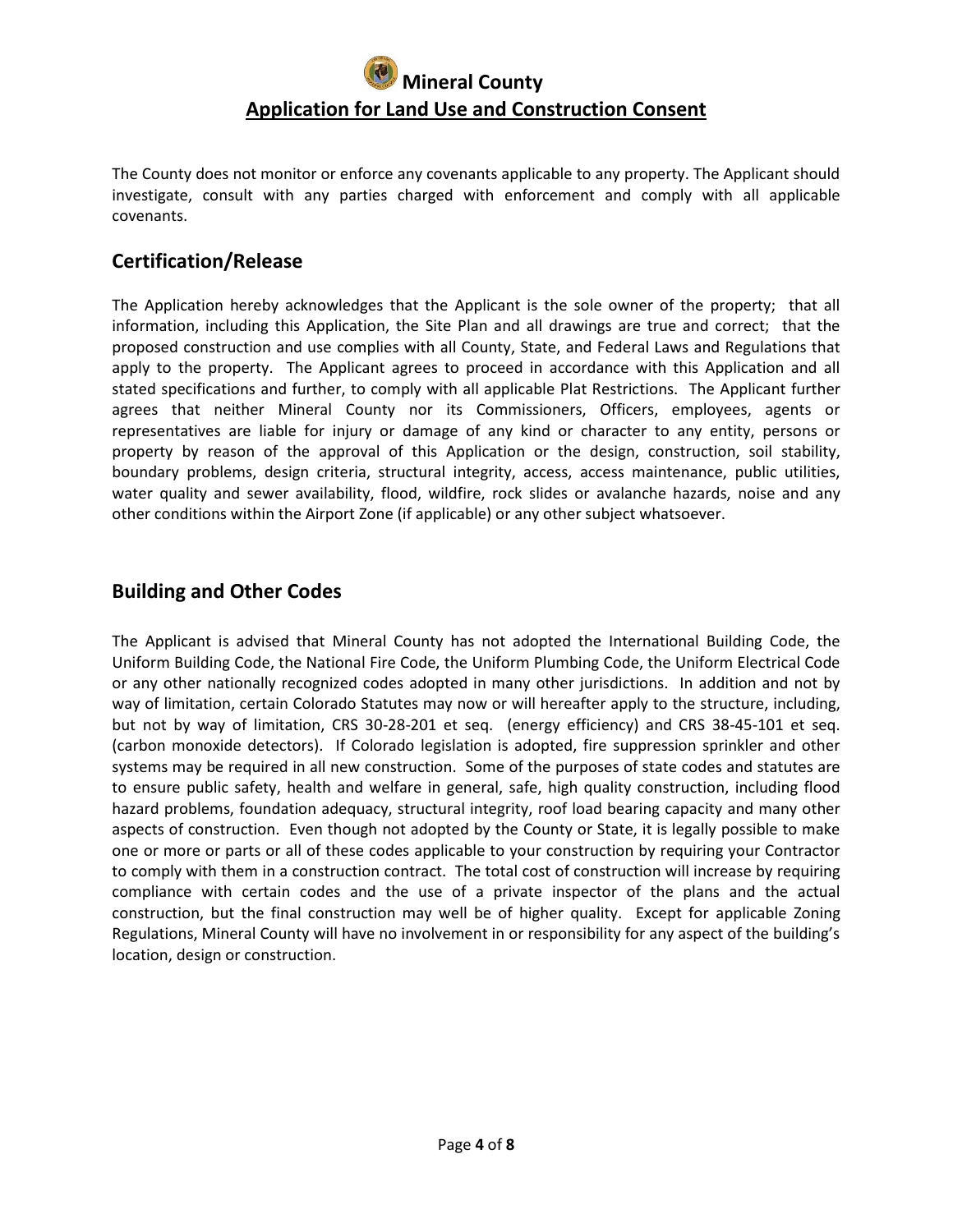The County does not monitor or enforce any covenants applicable to any property. The Applicant should investigate, consult with any parties charged with enforcement and comply with all applicable covenants.

## **Certification/Release**

The Application hereby acknowledges that the Applicant is the sole owner of the property; that all information, including this Application, the Site Plan and all drawings are true and correct; that the proposed construction and use complies with all County, State, and Federal Laws and Regulations that apply to the property. The Applicant agrees to proceed in accordance with this Application and all stated specifications and further, to comply with all applicable Plat Restrictions. The Applicant further agrees that neither Mineral County nor its Commissioners, Officers, employees, agents or representatives are liable for injury or damage of any kind or character to any entity, persons or property by reason of the approval of this Application or the design, construction, soil stability, boundary problems, design criteria, structural integrity, access, access maintenance, public utilities, water quality and sewer availability, flood, wildfire, rock slides or avalanche hazards, noise and any other conditions within the Airport Zone (if applicable) or any other subject whatsoever.

## **Building and Other Codes**

The Applicant is advised that Mineral County has not adopted the International Building Code, the Uniform Building Code, the National Fire Code, the Uniform Plumbing Code, the Uniform Electrical Code or any other nationally recognized codes adopted in many other jurisdictions. In addition and not by way of limitation, certain Colorado Statutes may now or will hereafter apply to the structure, including, but not by way of limitation, CRS 30-28-201 et seq. (energy efficiency) and CRS 38-45-101 et seq. (carbon monoxide detectors). If Colorado legislation is adopted, fire suppression sprinkler and other systems may be required in all new construction. Some of the purposes of state codes and statutes are to ensure public safety, health and welfare in general, safe, high quality construction, including flood hazard problems, foundation adequacy, structural integrity, roof load bearing capacity and many other aspects of construction. Even though not adopted by the County or State, it is legally possible to make one or more or parts or all of these codes applicable to your construction by requiring your Contractor to comply with them in a construction contract. The total cost of construction will increase by requiring compliance with certain codes and the use of a private inspector of the plans and the actual construction, but the final construction may well be of higher quality. Except for applicable Zoning Regulations, Mineral County will have no involvement in or responsibility for any aspect of the building's location, design or construction.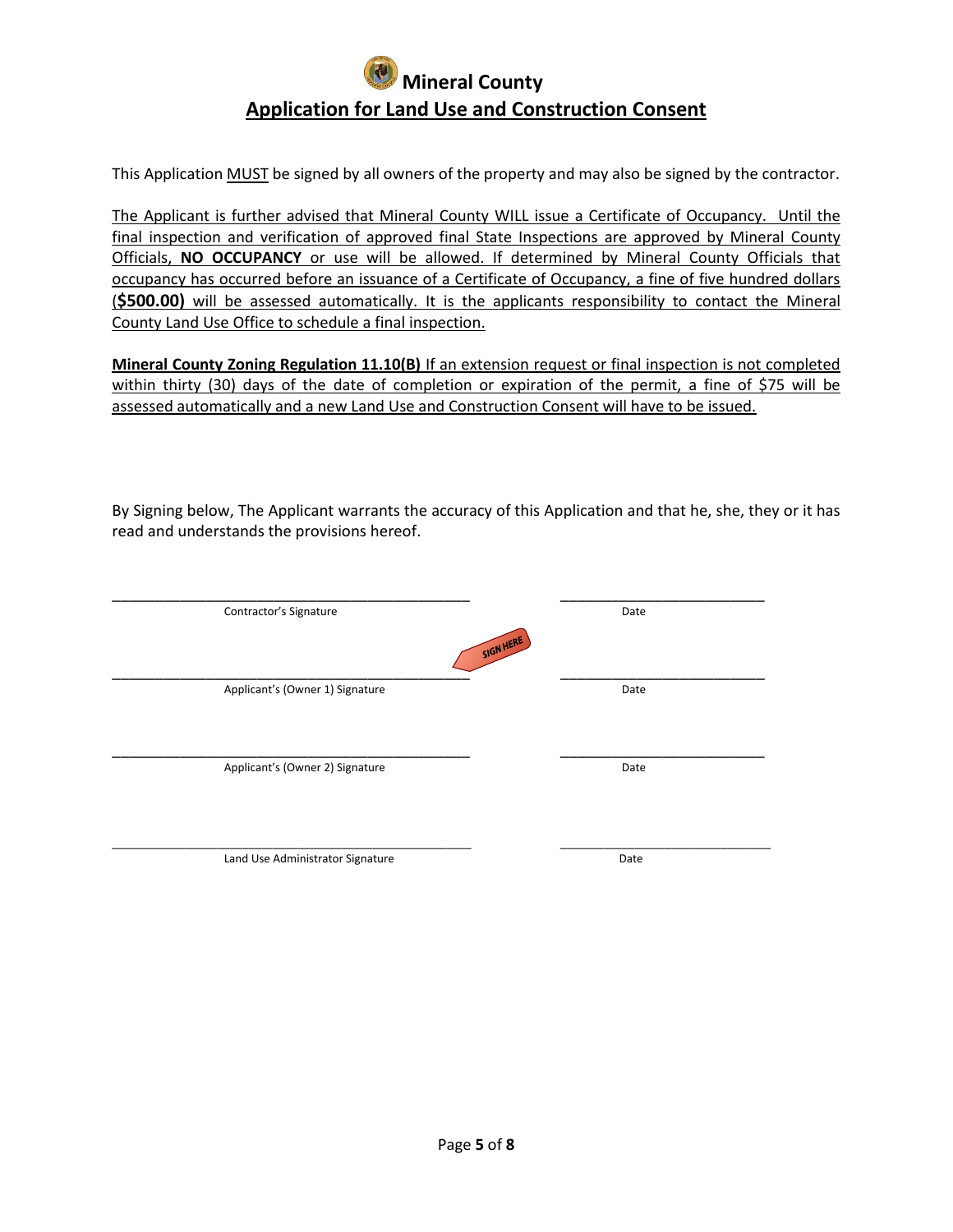This Application MUST be signed by all owners of the property and may also be signed by the contractor.

The Applicant is further advised that Mineral County WILL issue a Certificate of Occupancy. Until the final inspection and verification of approved final State Inspections are approved by Mineral County Officials, **NO OCCUPANCY** or use will be allowed. If determined by Mineral County Officials that occupancy has occurred before an issuance of a Certificate of Occupancy, a fine of five hundred dollars (**\$500.00)** will be assessed automatically. It is the applicants responsibility to contact the Mineral County Land Use Office to schedule a final inspection.

**Mineral County Zoning Regulation 11.10(B)** If an extension request or final inspection is not completed within thirty (30) days of the date of completion or expiration of the permit, a fine of \$75 will be assessed automatically and a new Land Use and Construction Consent will have to be issued.

By Signing below, The Applicant warrants the accuracy of this Application and that he, she, they or it has read and understands the provisions hereof.

| Contractor's Signature<br>SIGN HERE | Date |
|-------------------------------------|------|
| Applicant's (Owner 1) Signature     | Date |
| Applicant's (Owner 2) Signature     | Date |
| Land Use Administrator Signature    | Date |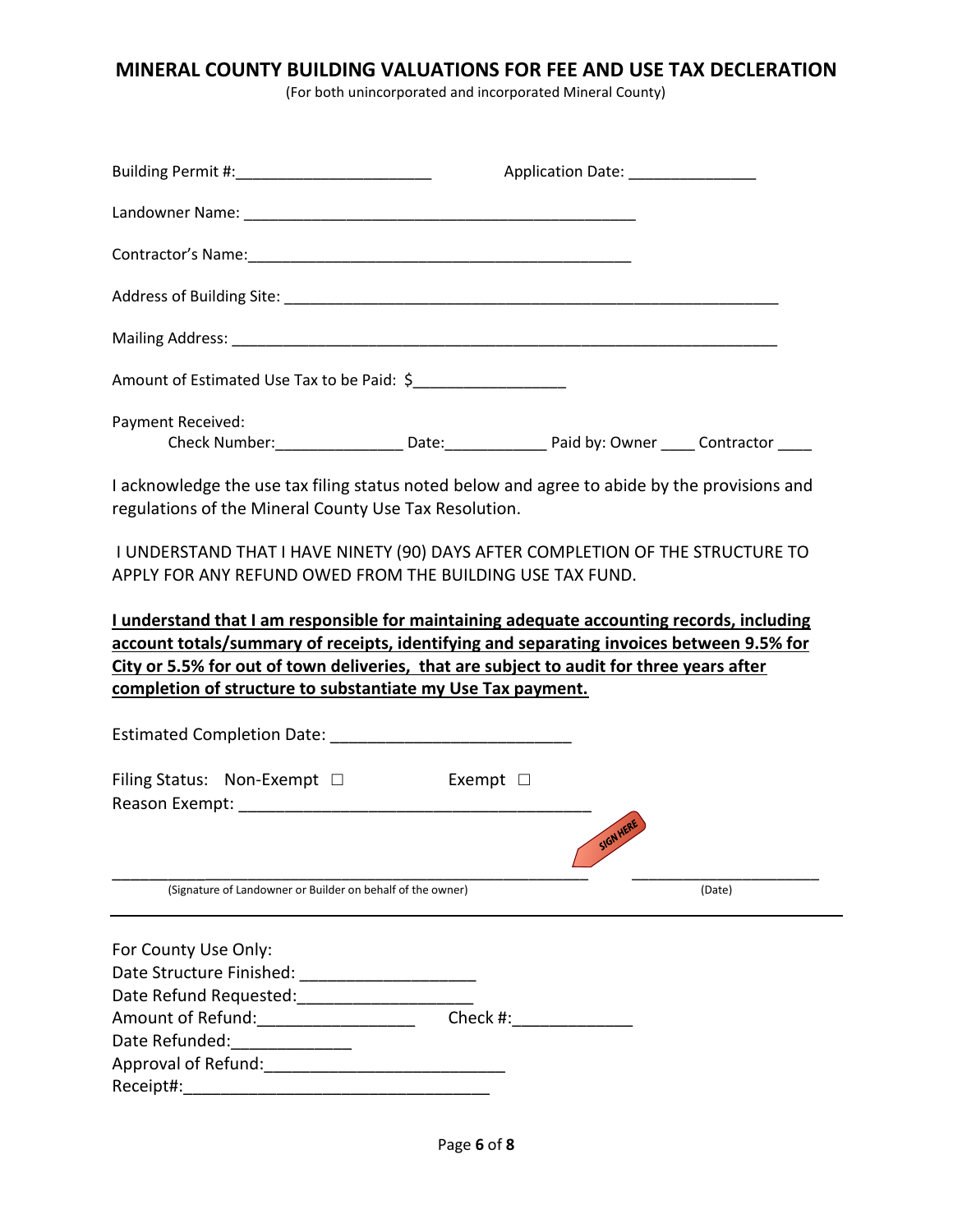## **MINERAL COUNTY BUILDING VALUATIONS FOR FEE AND USE TAX DECLERATION**

(For both unincorporated and incorporated Mineral County)

| Application Date: _______________                                                                                                                                                                                                                                                 |                                                                         |
|-----------------------------------------------------------------------------------------------------------------------------------------------------------------------------------------------------------------------------------------------------------------------------------|-------------------------------------------------------------------------|
|                                                                                                                                                                                                                                                                                   |                                                                         |
|                                                                                                                                                                                                                                                                                   |                                                                         |
|                                                                                                                                                                                                                                                                                   |                                                                         |
|                                                                                                                                                                                                                                                                                   |                                                                         |
| Amount of Estimated Use Tax to be Paid: \$_____________________                                                                                                                                                                                                                   |                                                                         |
| Check Number:____________________Date:____________________________Paid by: Owner ______ Contractor _____                                                                                                                                                                          |                                                                         |
| I acknowledge the use tax filing status noted below and agree to abide by the provisions and<br>regulations of the Mineral County Use Tax Resolution.                                                                                                                             |                                                                         |
| I UNDERSTAND THAT I HAVE NINETY (90) DAYS AFTER COMPLETION OF THE STRUCTURE TO<br>APPLY FOR ANY REFUND OWED FROM THE BUILDING USE TAX FUND.                                                                                                                                       |                                                                         |
| I understand that I am responsible for maintaining adequate accounting records, including<br>account totals/summary of receipts, identifying and separating invoices between 9.5% for<br>City or 5.5% for out of town deliveries, that are subject to audit for three years after |                                                                         |
|                                                                                                                                                                                                                                                                                   |                                                                         |
| $\blacksquare$ Exempt $\blacksquare$                                                                                                                                                                                                                                              |                                                                         |
|                                                                                                                                                                                                                                                                                   | (Date)                                                                  |
|                                                                                                                                                                                                                                                                                   |                                                                         |
| Approval of Refund: Manual Approval of Refund:                                                                                                                                                                                                                                    |                                                                         |
|                                                                                                                                                                                                                                                                                   | completion of structure to substantiate my Use Tax payment.<br>SIGN HER |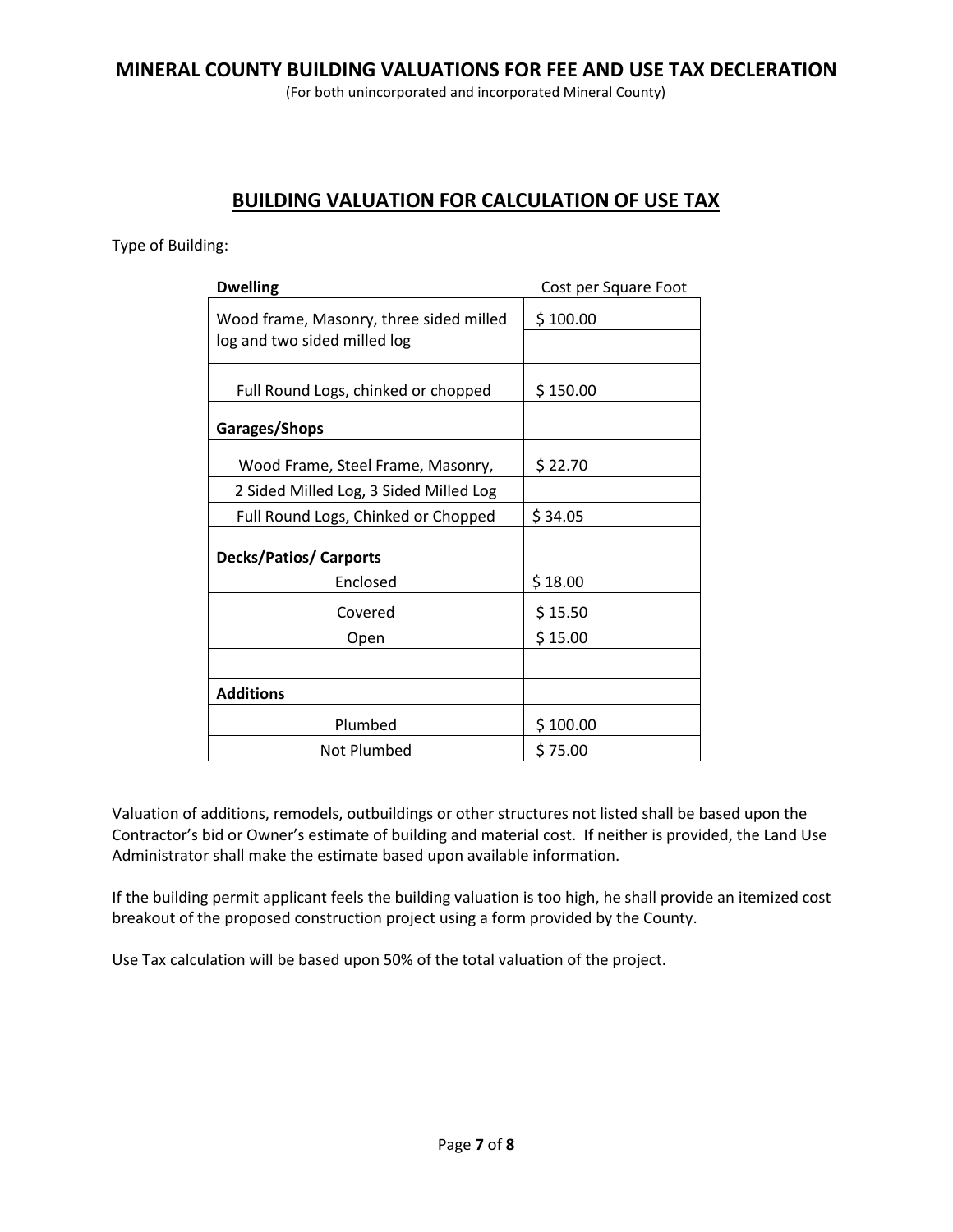### **MINERAL COUNTY BUILDING VALUATIONS FOR FEE AND USE TAX DECLERATION**

(For both unincorporated and incorporated Mineral County)

## **BUILDING VALUATION FOR CALCULATION OF USE TAX**

Type of Building:

| <b>Dwelling</b>                                                         | Cost per Square Foot |
|-------------------------------------------------------------------------|----------------------|
| Wood frame, Masonry, three sided milled<br>log and two sided milled log | \$100.00             |
| Full Round Logs, chinked or chopped                                     | \$150.00             |
| Garages/Shops                                                           |                      |
| Wood Frame, Steel Frame, Masonry,                                       | \$22.70              |
| 2 Sided Milled Log, 3 Sided Milled Log                                  |                      |
| Full Round Logs, Chinked or Chopped                                     | \$34.05              |
| <b>Decks/Patios/ Carports</b>                                           |                      |
| Enclosed                                                                | \$18.00              |
| Covered                                                                 | \$15.50              |
| Open                                                                    | \$15.00              |
| <b>Additions</b>                                                        |                      |
| Plumbed                                                                 | \$100.00             |
| Not Plumbed                                                             | \$75.00              |

Valuation of additions, remodels, outbuildings or other structures not listed shall be based upon the Contractor's bid or Owner's estimate of building and material cost. If neither is provided, the Land Use Administrator shall make the estimate based upon available information.

If the building permit applicant feels the building valuation is too high, he shall provide an itemized cost breakout of the proposed construction project using a form provided by the County.

Use Tax calculation will be based upon 50% of the total valuation of the project.